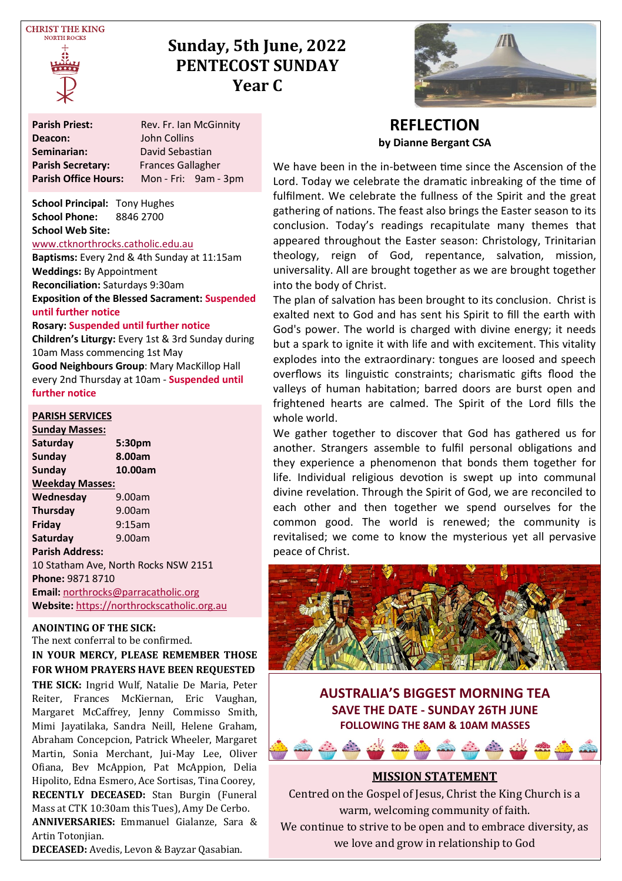**CHRIST THE KING NOPTH POCKS** 



# **Sunday, 5th June, 2022 PENTECOST SUNDAY Year C**

| <b>Parish Priest:</b>       | Rev. Fr. Ian McGinnity   |  |  |  |
|-----------------------------|--------------------------|--|--|--|
| Deacon:                     | John Collins             |  |  |  |
| Seminarian:                 | David Sebastian          |  |  |  |
| <b>Parish Secretary:</b>    | <b>Frances Gallagher</b> |  |  |  |
| <b>Parish Office Hours:</b> | Mon - Fri: 9am - 3pm     |  |  |  |

**School Principal:** Tony Hughes **School Phone:** 8846 2700 **School Web Site:** 

#### [www.ctknorthrocks.catholic.edu.au](http://www.ctknorthrocks.catholic.edu.au)

**Baptisms:** Every 2nd & 4th Sunday at 11:15am **Weddings:** By Appointment **Reconciliation:** Saturdays 9:30am **Exposition of the Blessed Sacrament: Suspended until further notice**

#### **Rosary: Suspended until further notice**

**Children's Liturgy:** Every 1st & 3rd Sunday during 10am Mass commencing 1st May **Good Neighbours Group**: Mary MacKillop Hall every 2nd Thursday at 10am - **Suspended until further notice**

#### **PARISH SERVICES**

**Sunday Masses: Saturday 5:30pm** Sunday **Sunday 10.00am Weekday Masses: Wednesday** 9.00am **Thursday** 9.00am **Friday** 9:15am **Saturday** 9.00am **Parish Address:** 10 Statham Ave, North Rocks NSW 2151 **Phone:** 9871 8710 **Email:** [northrocks@parracatholic.org](mailto:northrocks@parracatholic.org) **Website:** [https://northrockscatholic.org.au](https://northrockscatholic.org.au/)

#### **ANOINTING OF THE SICK:**

The next conferral to be confirmed. **IN YOUR MERCY, PLEASE REMEMBER THOSE FOR WHOM PRAYERS HAVE BEEN REQUESTED**

**THE SICK:** Ingrid Wulf, Natalie De Maria, Peter Reiter, Frances McKiernan, Eric Vaughan, Margaret McCaffrey, Jenny Commisso Smith, Mimi Jayatilaka, Sandra Neill, Helene Graham, Abraham Concepcion, Patrick Wheeler, Margaret Martin, Sonia Merchant, Jui-May Lee, Oliver Ofiana, Bev McAppion, Pat McAppion, Delia Hipolito, Edna Esmero, Ace Sortisas, Tina Coorey, **RECENTLY DECEASED:** Stan Burgin (Funeral Mass at CTK 10:30am this Tues), Amy De Cerbo. **ANNIVERSARIES:** Emmanuel Gialanze, Sara &

Artin Totonjian.

**DECEASED:** Avedis, Levon & Bayzar Qasabian.



### **REFLECTION by Dianne Bergant CSA**

We have been in the in-between time since the Ascension of the Lord. Today we celebrate the dramatic inbreaking of the time of fulfilment. We celebrate the fullness of the Spirit and the great gathering of nations. The feast also brings the Easter season to its conclusion. Today's readings recapitulate many themes that appeared throughout the Easter season: Christology, Trinitarian theology, reign of God, repentance, salvation, mission, universality. All are brought together as we are brought together into the body of Christ.

The plan of salvation has been brought to its conclusion. Christ is exalted next to God and has sent his Spirit to fill the earth with God's power. The world is charged with divine energy; it needs but a spark to ignite it with life and with excitement. This vitality explodes into the extraordinary: tongues are loosed and speech overflows its linguistic constraints; charismatic gifts flood the valleys of human habitation; barred doors are burst open and frightened hearts are calmed. The Spirit of the Lord fills the whole world.

We gather together to discover that God has gathered us for another. Strangers assemble to fulfil personal obligations and they experience a phenomenon that bonds them together for life. Individual religious devotion is swept up into communal divine revelation. Through the Spirit of God, we are reconciled to each other and then together we spend ourselves for the common good. The world is renewed; the community is revitalised; we come to know the mysterious yet all pervasive peace of Christ.



**AUSTRALIA'S BIGGEST MORNING TEA SAVE THE DATE - SUNDAY 26TH JUNE FOLLOWING THE 8AM & 10AM MASSES**



Centred on the Gospel of Jesus, Christ the King Church is a warm, welcoming community of faith. We continue to strive to be open and to embrace diversity, as we love and grow in relationship to God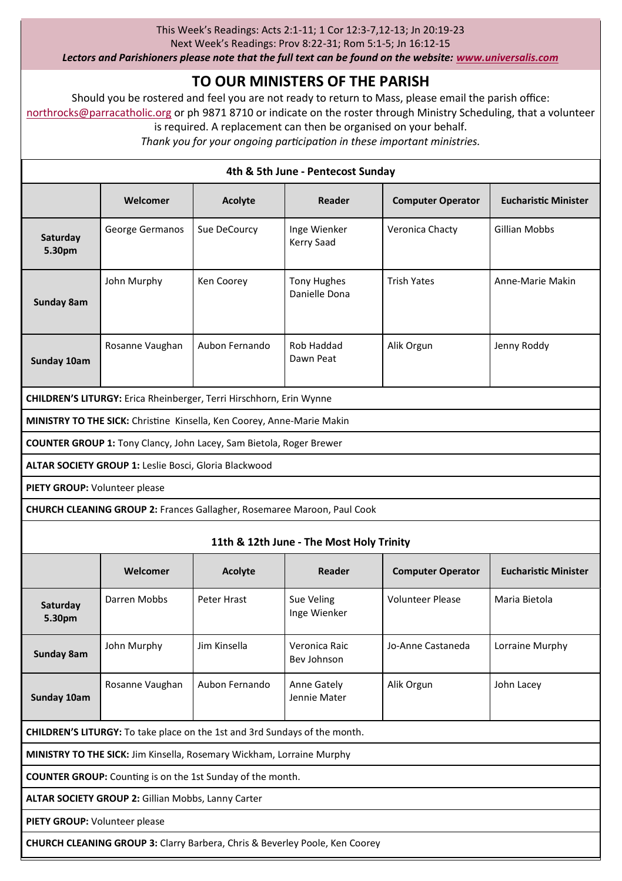#### This Week's Readings: Acts 2:1-11; 1 Cor 12:3-7,12-13; Jn 20:19-23

Next Week's Readings: Prov 8:22-31; Rom 5:1-5; Jn 16:12-15

*Lectors and Parishioners please note that the full text can be found on the website: [www.universalis.com](http://www.universalis.com)*

# **TO OUR MINISTERS OF THE PARISH**

Should you be rostered and feel you are not ready to return to Mass, please email the parish office: [northrocks@parracatholic.org](mailto:northrocks@parracatholic.org) or ph 9871 8710 or indicate on the roster through Ministry Scheduling, that a volunteer

is required. A replacement can then be organised on your behalf.

*Thank you for your ongoing participation in these important ministries.*

| 4th & 5th June - Pentecost Sunday                                                      |                                                       |                |                                                                                |                          |                             |  |
|----------------------------------------------------------------------------------------|-------------------------------------------------------|----------------|--------------------------------------------------------------------------------|--------------------------|-----------------------------|--|
|                                                                                        | Welcomer                                              | Acolyte        | Reader                                                                         | <b>Computer Operator</b> | <b>Eucharistic Minister</b> |  |
| Saturday<br>5.30pm                                                                     | George Germanos                                       | Sue DeCourcy   | Inge Wienker<br>Kerry Saad                                                     | Veronica Chacty          | <b>Gillian Mobbs</b>        |  |
| Sunday 8am                                                                             | John Murphy                                           | Ken Coorey     | <b>Tony Hughes</b><br>Danielle Dona                                            | <b>Trish Yates</b>       | Anne-Marie Makin            |  |
| Sunday 10am                                                                            | Rosanne Vaughan                                       | Aubon Fernando | Rob Haddad<br>Dawn Peat                                                        | Alik Orgun               | Jenny Roddy                 |  |
| CHILDREN'S LITURGY: Erica Rheinberger, Terri Hirschhorn, Erin Wynne                    |                                                       |                |                                                                                |                          |                             |  |
| MINISTRY TO THE SICK: Christine Kinsella, Ken Coorey, Anne-Marie Makin                 |                                                       |                |                                                                                |                          |                             |  |
| <b>COUNTER GROUP 1:</b> Tony Clancy, John Lacey, Sam Bietola, Roger Brewer             |                                                       |                |                                                                                |                          |                             |  |
|                                                                                        | ALTAR SOCIETY GROUP 1: Leslie Bosci, Gloria Blackwood |                |                                                                                |                          |                             |  |
| PIETY GROUP: Volunteer please                                                          |                                                       |                |                                                                                |                          |                             |  |
|                                                                                        |                                                       |                | <b>CHURCH CLEANING GROUP 2: Frances Gallagher, Rosemaree Maroon, Paul Cook</b> |                          |                             |  |
| 11th & 12th June - The Most Holy Trinity                                               |                                                       |                |                                                                                |                          |                             |  |
|                                                                                        | Welcomer                                              | <b>Acolyte</b> | Reader                                                                         | <b>Computer Operator</b> | <b>Eucharistic Minister</b> |  |
| Saturday<br>5.30pm                                                                     | Darren Mobbs                                          | Peter Hrast    | Sue Veling<br>Inge Wienker                                                     | <b>Volunteer Please</b>  | Maria Bietola               |  |
| Sunday 8am                                                                             | John Murphy                                           | Jim Kinsella   | Veronica Raic<br>Bev Johnson                                                   | Jo-Anne Castaneda        | Lorraine Murphy             |  |
| Sunday 10am                                                                            | Rosanne Vaughan                                       | Aubon Fernando | Anne Gately<br>Jennie Mater                                                    | Alik Orgun               | John Lacey                  |  |
| <b>CHILDREN'S LITURGY:</b> To take place on the 1st and 3rd Sundays of the month.      |                                                       |                |                                                                                |                          |                             |  |
| MINISTRY TO THE SICK: Jim Kinsella, Rosemary Wickham, Lorraine Murphy                  |                                                       |                |                                                                                |                          |                             |  |
| <b>COUNTER GROUP:</b> Counting is on the 1st Sunday of the month.                      |                                                       |                |                                                                                |                          |                             |  |
| ALTAR SOCIETY GROUP 2: Gillian Mobbs, Lanny Carter                                     |                                                       |                |                                                                                |                          |                             |  |
| <b>PIETY GROUP:</b> Volunteer please                                                   |                                                       |                |                                                                                |                          |                             |  |
| <b>CHURCH CLEANING GROUP 3: Clarry Barbera, Chris &amp; Beverley Poole, Ken Coorey</b> |                                                       |                |                                                                                |                          |                             |  |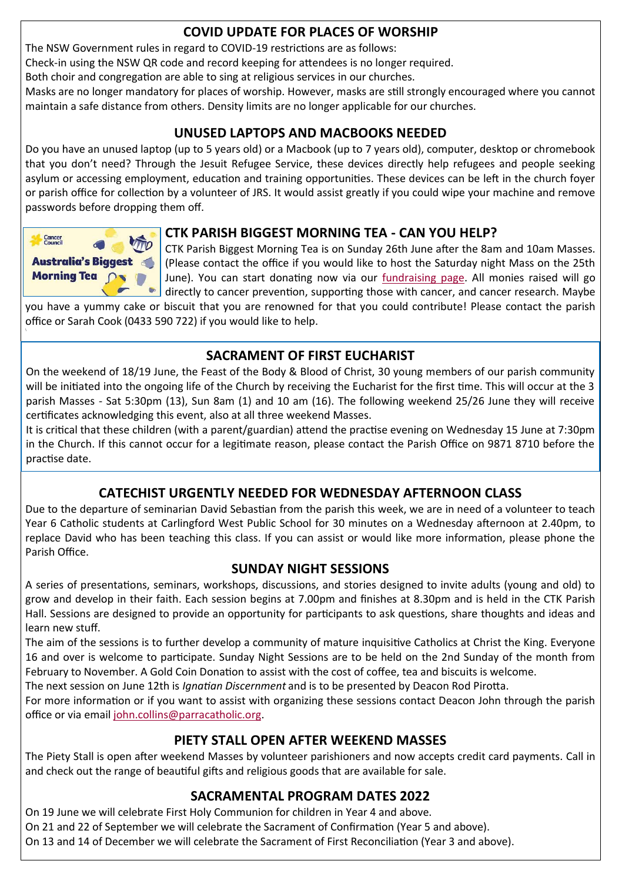# **COVID UPDATE FOR PLACES OF WORSHIP**

The NSW Government rules in regard to COVID-19 restrictions are as follows:

Check-in using the NSW QR code and record keeping for attendees is no longer required.

Both choir and congregation are able to sing at religious services in our churches.

Masks are no longer mandatory for places of worship. However, masks are still strongly encouraged where you cannot maintain a safe distance from others. Density limits are no longer applicable for our churches.

# **UNUSED LAPTOPS AND MACBOOKS NEEDED**

Do you have an unused laptop (up to 5 years old) or a Macbook (up to 7 years old), computer, desktop or chromebook that you don't need? Through the Jesuit Refugee Service, these devices directly help refugees and people seeking asylum or accessing employment, education and training opportunities. These devices can be left in the church foyer or parish office for collection by a volunteer of JRS. It would assist greatly if you could wipe your machine and remove passwords before dropping them off.



# **CTK PARISH BIGGEST MORNING TEA - CAN YOU HELP?**

CTK Parish Biggest Morning Tea is on Sunday 26th June after the 8am and 10am Masses. Australia's Biggest (Please contact the office if you would like to host the Saturday night Mass on the 25th Morning Tea <br>
June). You can start donating now via our [fundraising page.](https://www.biggestmorningtea.com.au/fundraisers/ctk44027/biggest-morning-tea-nsw) All monies raised will go  $\bullet$  directly to cancer prevention, supporting those with cancer, and cancer research. Maybe

you have a yummy cake or biscuit that you are renowned for that you could contribute! Please contact the parish office or Sarah Cook (0433 590 722) if you would like to help.

# **SACRAMENT OF FIRST EUCHARIST**

On the weekend of 18/19 June, the Feast of the Body & Blood of Christ, 30 young members of our parish community will be initiated into the ongoing life of the Church by receiving the Eucharist for the first time. This will occur at the 3 parish Masses - Sat 5:30pm (13), Sun 8am (1) and 10 am (16). The following weekend 25/26 June they will receive certificates acknowledging this event, also at all three weekend Masses.

It is critical that these children (with a parent/guardian) attend the practise evening on Wednesday 15 June at 7:30pm in the Church. If this cannot occur for a legitimate reason, please contact the Parish Office on 9871 8710 before the practise date.

# **CATECHIST URGENTLY NEEDED FOR WEDNESDAY AFTERNOON CLASS**

Due to the departure of seminarian David Sebastian from the parish this week, we are in need of a volunteer to teach Year 6 Catholic students at Carlingford West Public School for 30 minutes on a Wednesday afternoon at 2.40pm, to replace David who has been teaching this class. If you can assist or would like more information, please phone the Parish Office.

# **SUNDAY NIGHT SESSIONS**

A series of presentations, seminars, workshops, discussions, and stories designed to invite adults (young and old) to grow and develop in their faith. Each session begins at 7.00pm and finishes at 8.30pm and is held in the CTK Parish Hall. Sessions are designed to provide an opportunity for participants to ask questions, share thoughts and ideas and learn new stuff.

The aim of the sessions is to further develop a community of mature inquisitive Catholics at Christ the King. Everyone 16 and over is welcome to participate. Sunday Night Sessions are to be held on the 2nd Sunday of the month from February to November. A Gold Coin Donation to assist with the cost of coffee, tea and biscuits is welcome.

The next session on June 12th is *Ignatian Discernment* and is to be presented by Deacon Rod Pirotta.

For more information or if you want to assist with organizing these sessions contact Deacon John through the parish office or via email [john.collins@parracatholic.org.](mailto:john.collins@parracatholic.org)

# **PIETY STALL OPEN AFTER WEEKEND MASSES**

The Piety Stall is open after weekend Masses by volunteer parishioners and now accepts credit card payments. Call in and check out the range of beautiful gifts and religious goods that are available for sale.

# **SACRAMENTAL PROGRAM DATES 2022**

On 19 June we will celebrate First Holy Communion for children in Year 4 and above.

On 21 and 22 of September we will celebrate the Sacrament of Confirmation (Year 5 and above).

On 13 and 14 of December we will celebrate the Sacrament of First Reconciliation (Year 3 and above).